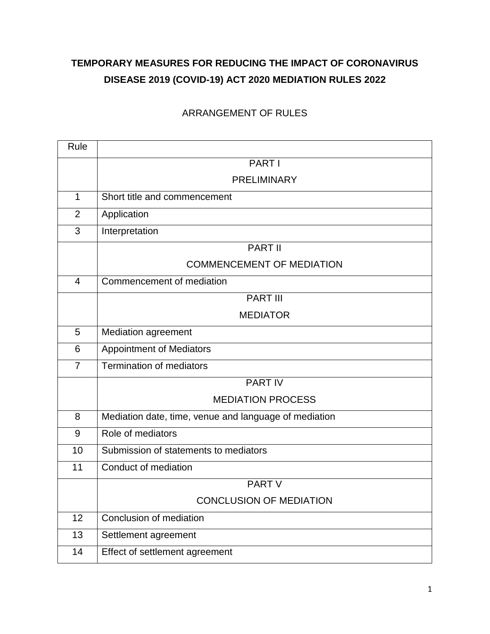# **TEMPORARY MEASURES FOR REDUCING THE IMPACT OF CORONAVIRUS DISEASE 2019 (COVID-19) ACT 2020 MEDIATION RULES 2022**

### ARRANGEMENT OF RULES

| Rule           |                                                       |  |  |  |  |  |
|----------------|-------------------------------------------------------|--|--|--|--|--|
|                | PART I                                                |  |  |  |  |  |
|                | <b>PRELIMINARY</b>                                    |  |  |  |  |  |
| $\mathbf 1$    | Short title and commencement                          |  |  |  |  |  |
| $\overline{2}$ | Application                                           |  |  |  |  |  |
| 3              | Interpretation                                        |  |  |  |  |  |
|                | PART II                                               |  |  |  |  |  |
|                | <b>COMMENCEMENT OF MEDIATION</b>                      |  |  |  |  |  |
| $\overline{4}$ | Commencement of mediation                             |  |  |  |  |  |
|                | <b>PART III</b>                                       |  |  |  |  |  |
|                | <b>MEDIATOR</b>                                       |  |  |  |  |  |
| 5              | <b>Mediation agreement</b>                            |  |  |  |  |  |
| 6              | <b>Appointment of Mediators</b>                       |  |  |  |  |  |
| 7              | <b>Termination of mediators</b>                       |  |  |  |  |  |
|                | <b>PART IV</b>                                        |  |  |  |  |  |
|                | <b>MEDIATION PROCESS</b>                              |  |  |  |  |  |
| 8              | Mediation date, time, venue and language of mediation |  |  |  |  |  |
| 9              | Role of mediators                                     |  |  |  |  |  |
| 10             | Submission of statements to mediators                 |  |  |  |  |  |
| 11             | Conduct of mediation                                  |  |  |  |  |  |
|                | <b>PART V</b>                                         |  |  |  |  |  |
|                | <b>CONCLUSION OF MEDIATION</b>                        |  |  |  |  |  |
| 12             | Conclusion of mediation                               |  |  |  |  |  |
| 13             | Settlement agreement                                  |  |  |  |  |  |
| 14             | Effect of settlement agreement                        |  |  |  |  |  |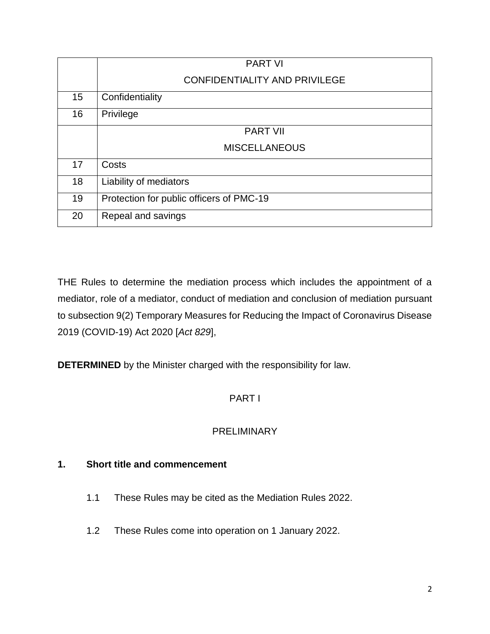|    | <b>PART VI</b>                           |  |  |  |  |  |
|----|------------------------------------------|--|--|--|--|--|
|    | <b>CONFIDENTIALITY AND PRIVILEGE</b>     |  |  |  |  |  |
| 15 | Confidentiality                          |  |  |  |  |  |
| 16 | Privilege                                |  |  |  |  |  |
|    | <b>PART VII</b>                          |  |  |  |  |  |
|    | <b>MISCELLANEOUS</b>                     |  |  |  |  |  |
| 17 | Costs                                    |  |  |  |  |  |
| 18 | Liability of mediators                   |  |  |  |  |  |
| 19 | Protection for public officers of PMC-19 |  |  |  |  |  |
| 20 | Repeal and savings                       |  |  |  |  |  |

THE Rules to determine the mediation process which includes the appointment of a mediator, role of a mediator, conduct of mediation and conclusion of mediation pursuant to subsection 9(2) Temporary Measures for Reducing the Impact of Coronavirus Disease 2019 (COVID-19) Act 2020 [*Act 829*],

**DETERMINED** by the Minister charged with the responsibility for law.

### PART I

### PRELIMINARY

### **1. Short title and commencement**

- 1.1 These Rules may be cited as the Mediation Rules 2022.
- 1.2 These Rules come into operation on 1 January 2022.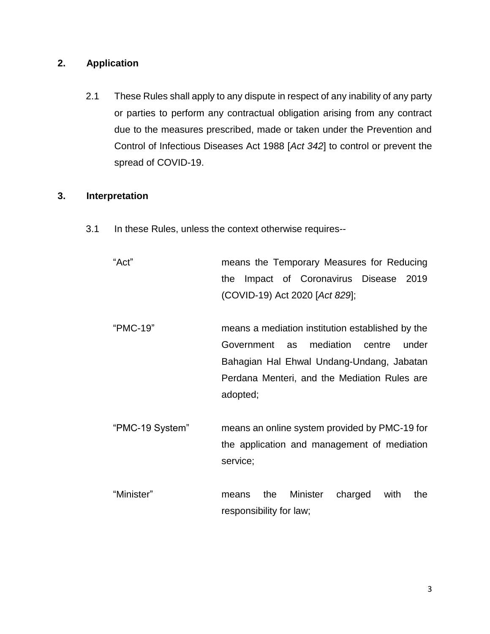### **2. Application**

2.1 These Rules shall apply to any dispute in respect of any inability of any party or parties to perform any contractual obligation arising from any contract due to the measures prescribed, made or taken under the Prevention and Control of Infectious Diseases Act 1988 [*Act 342*] to control or prevent the spread of COVID-19.

### **3. Interpretation**

- 3.1 In these Rules, unless the context otherwise requires--
	- "Act" means the Temporary Measures for Reducing the Impact of Coronavirus Disease 2019 (COVID-19) Act 2020 [*Act 829*];
	- "PMC-19" means a mediation institution established by the Government as mediation centre under Bahagian Hal Ehwal Undang-Undang, Jabatan Perdana Menteri, and the Mediation Rules are adopted;
	- "PMC-19 System" means an online system provided by PMC-19 for the application and management of mediation service;
	- "Minister" means the Minister charged with the responsibility for law;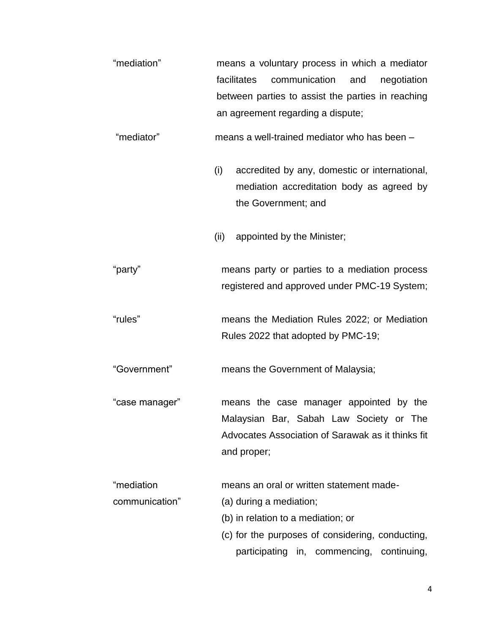"mediation" means a voluntary process in which a mediator facilitates communication and negotiation between parties to assist the parties in reaching an agreement regarding a dispute;

"mediator" means a well-trained mediator who has been –

- (i) accredited by any, domestic or international, mediation accreditation body as agreed by the Government; and
- (ii) appointed by the Minister;

"party" means party or parties to a mediation process registered and approved under PMC-19 System;

"rules" means the Mediation Rules 2022; or Mediation Rules 2022 that adopted by PMC-19;

"Government" means the Government of Malaysia;

"case manager" means the case manager appointed by the Malaysian Bar, Sabah Law Society or The Advocates Association of Sarawak as it thinks fit and proper;

"mediation means an oral or written statement made-

- communication" (a) during a mediation;
	- (b) in relation to a mediation; or
	- (c) for the purposes of considering, conducting, participating in, commencing, continuing,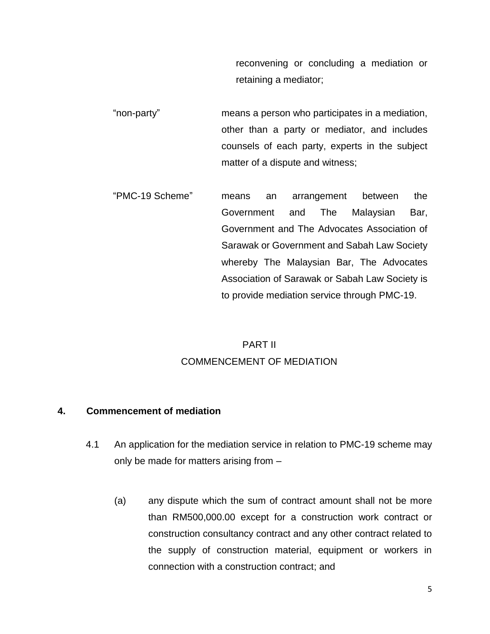reconvening or concluding a mediation or retaining a mediator;

- "non-party" means a person who participates in a mediation, other than a party or mediator, and includes counsels of each party, experts in the subject matter of a dispute and witness;
- "PMC-19 Scheme" means an arrangement between the Government and The Malaysian Bar, Government and The Advocates Association of Sarawak or Government and Sabah Law Society whereby The Malaysian Bar, The Advocates Association of Sarawak or Sabah Law Society is to provide mediation service through PMC-19.

## PART II COMMENCEMENT OF MEDIATION

### **4. Commencement of mediation**

- 4.1 An application for the mediation service in relation to PMC-19 scheme may only be made for matters arising from –
	- (a) any dispute which the sum of contract amount shall not be more than RM500,000.00 except for a construction work contract or construction consultancy contract and any other contract related to the supply of construction material, equipment or workers in connection with a construction contract; and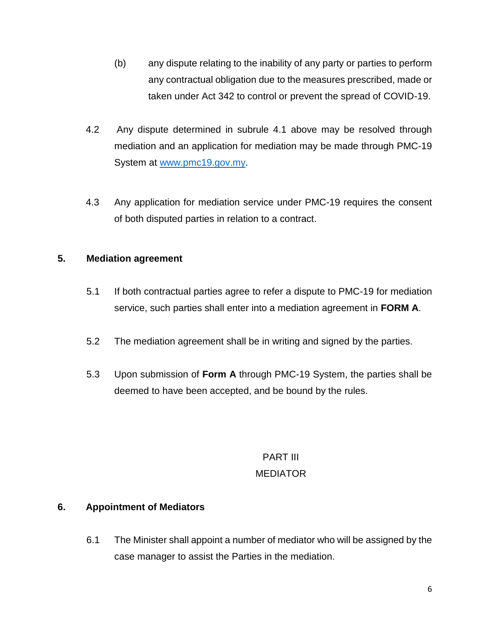- (b) any dispute relating to the inability of any party or parties to perform any contractual obligation due to the measures prescribed, made or taken under Act 342 to control or prevent the spread of COVID-19.
- 4.2 Any dispute determined in subrule 4.1 above may be resolved through mediation and an application for mediation may be made through PMC-19 System at [www.pmc19.gov.my.](http://www.pmc19.gov.my/)
- 4.3 Any application for mediation service under PMC-19 requires the consent of both disputed parties in relation to a contract.

### **5. Mediation agreement**

- 5.1 If both contractual parties agree to refer a dispute to PMC-19 for mediation service, such parties shall enter into a mediation agreement in **FORM A**.
- 5.2 The mediation agreement shall be in writing and signed by the parties.
- 5.3 Upon submission of **Form A** through PMC-19 System, the parties shall be deemed to have been accepted, and be bound by the rules.

# PART III MEDIATOR

### **6. Appointment of Mediators**

6.1 The Minister shall appoint a number of mediator who will be assigned by the case manager to assist the Parties in the mediation.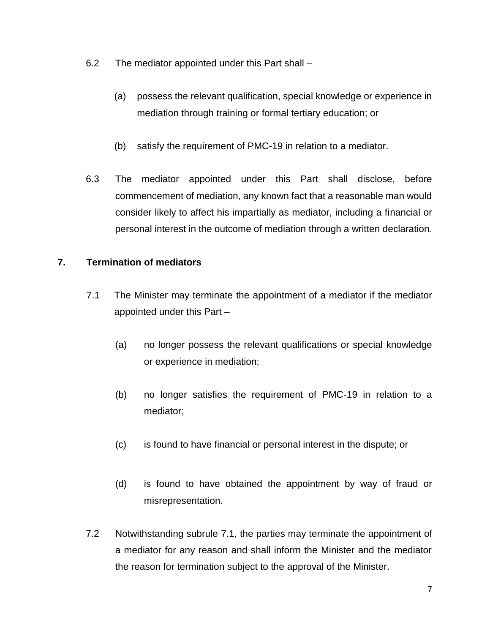- 6.2 The mediator appointed under this Part shall
	- (a) possess the relevant qualification, special knowledge or experience in mediation through training or formal tertiary education; or
	- (b) satisfy the requirement of PMC-19 in relation to a mediator.
- 6.3 The mediator appointed under this Part shall disclose, before commencement of mediation, any known fact that a reasonable man would consider likely to affect his impartially as mediator, including a financial or personal interest in the outcome of mediation through a written declaration.

### **7. Termination of mediators**

- 7.1 The Minister may terminate the appointment of a mediator if the mediator appointed under this Part –
	- (a) no longer possess the relevant qualifications or special knowledge or experience in mediation;
	- (b) no longer satisfies the requirement of PMC-19 in relation to a mediator;
	- (c) is found to have financial or personal interest in the dispute; or
	- (d) is found to have obtained the appointment by way of fraud or misrepresentation.
- 7.2 Notwithstanding subrule 7.1, the parties may terminate the appointment of a mediator for any reason and shall inform the Minister and the mediator the reason for termination subject to the approval of the Minister.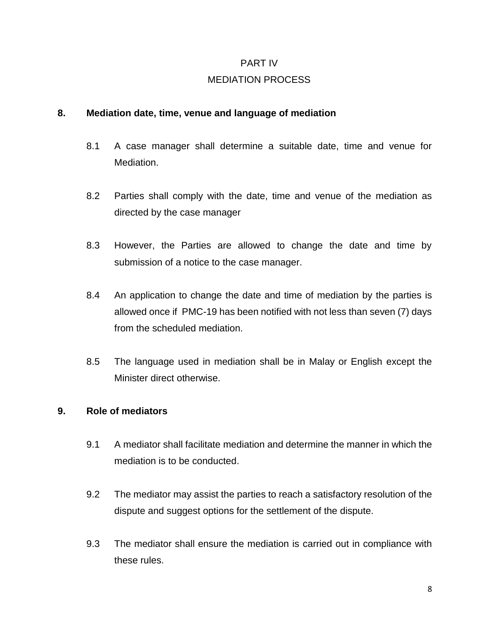#### PART IV

### MEDIATION PROCESS

#### **8. Mediation date, time, venue and language of mediation**

- 8.1 A case manager shall determine a suitable date, time and venue for Mediation.
- 8.2 Parties shall comply with the date, time and venue of the mediation as directed by the case manager
- 8.3 However, the Parties are allowed to change the date and time by submission of a notice to the case manager.
- 8.4 An application to change the date and time of mediation by the parties is allowed once if PMC-19 has been notified with not less than seven (7) days from the scheduled mediation.
- 8.5 The language used in mediation shall be in Malay or English except the Minister direct otherwise.

### **9. Role of mediators**

- 9.1 A mediator shall facilitate mediation and determine the manner in which the mediation is to be conducted.
- 9.2 The mediator may assist the parties to reach a satisfactory resolution of the dispute and suggest options for the settlement of the dispute.
- 9.3 The mediator shall ensure the mediation is carried out in compliance with these rules.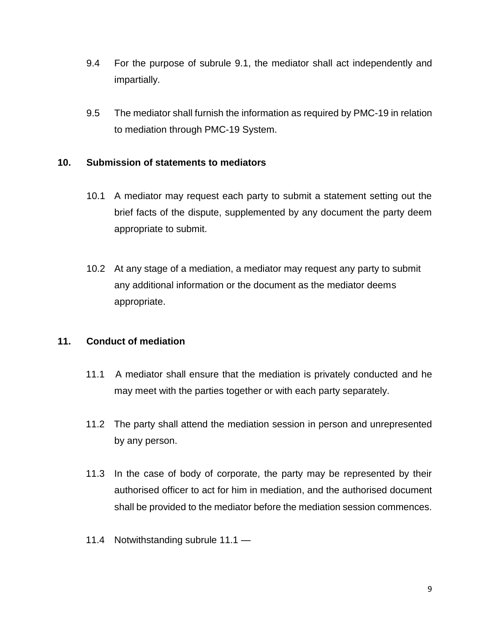- 9.4 For the purpose of subrule 9.1, the mediator shall act independently and impartially.
- 9.5 The mediator shall furnish the information as required by PMC-19 in relation to mediation through PMC-19 System.

### **10. Submission of statements to mediators**

- 10.1 A mediator may request each party to submit a statement setting out the brief facts of the dispute, supplemented by any document the party deem appropriate to submit.
- 10.2 At any stage of a mediation, a mediator may request any party to submit any additional information or the document as the mediator deems appropriate.

### **11. Conduct of mediation**

- 11.1 A mediator shall ensure that the mediation is privately conducted and he may meet with the parties together or with each party separately.
- 11.2 The party shall attend the mediation session in person and unrepresented by any person.
- 11.3 In the case of body of corporate, the party may be represented by their authorised officer to act for him in mediation, and the authorised document shall be provided to the mediator before the mediation session commences.
- 11.4 Notwithstanding subrule 11.1 —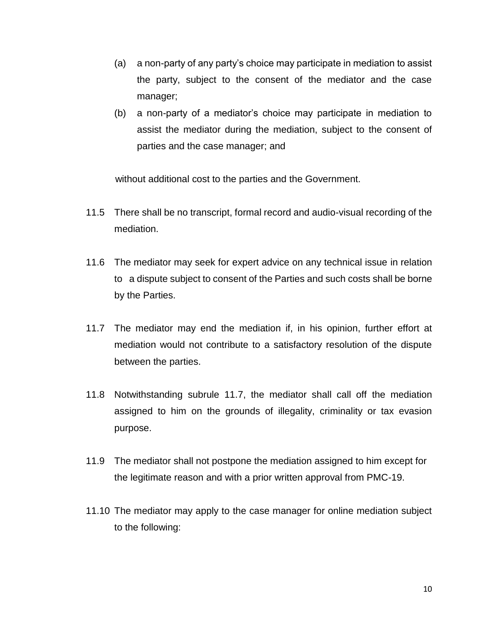- (a) a non-party of any party's choice may participate in mediation to assist the party, subject to the consent of the mediator and the case manager;
- (b) a non-party of a mediator's choice may participate in mediation to assist the mediator during the mediation, subject to the consent of parties and the case manager; and

without additional cost to the parties and the Government.

- 11.5 There shall be no transcript, formal record and audio-visual recording of the mediation.
- 11.6 The mediator may seek for expert advice on any technical issue in relation to a dispute subject to consent of the Parties and such costs shall be borne by the Parties.
- 11.7 The mediator may end the mediation if, in his opinion, further effort at mediation would not contribute to a satisfactory resolution of the dispute between the parties.
- 11.8 Notwithstanding subrule 11.7, the mediator shall call off the mediation assigned to him on the grounds of illegality, criminality or tax evasion purpose.
- 11.9 The mediator shall not postpone the mediation assigned to him except for the legitimate reason and with a prior written approval from PMC-19.
- 11.10 The mediator may apply to the case manager for online mediation subject to the following: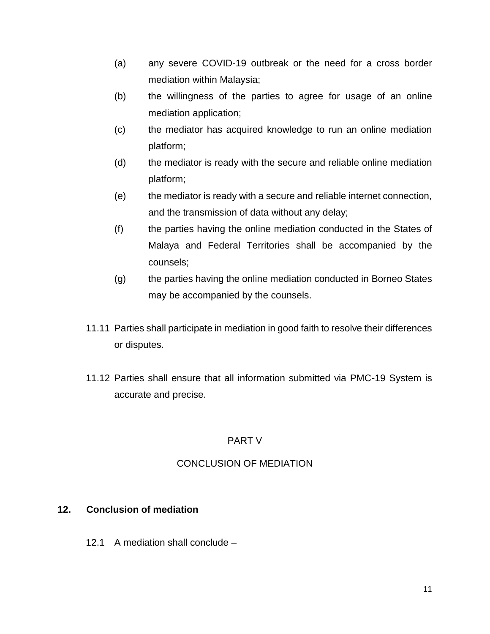- (a) any severe COVID-19 outbreak or the need for a cross border mediation within Malaysia;
- (b) the willingness of the parties to agree for usage of an online mediation application;
- (c) the mediator has acquired knowledge to run an online mediation platform;
- (d) the mediator is ready with the secure and reliable online mediation platform;
- (e) the mediator is ready with a secure and reliable internet connection, and the transmission of data without any delay;
- (f) the parties having the online mediation conducted in the States of Malaya and Federal Territories shall be accompanied by the counsels;
- (g) the parties having the online mediation conducted in Borneo States may be accompanied by the counsels.
- 11.11 Parties shall participate in mediation in good faith to resolve their differences or disputes.
- 11.12 Parties shall ensure that all information submitted via PMC-19 System is accurate and precise.

### PART V

### CONCLUSION OF MEDIATION

### **12. Conclusion of mediation**

12.1 A mediation shall conclude –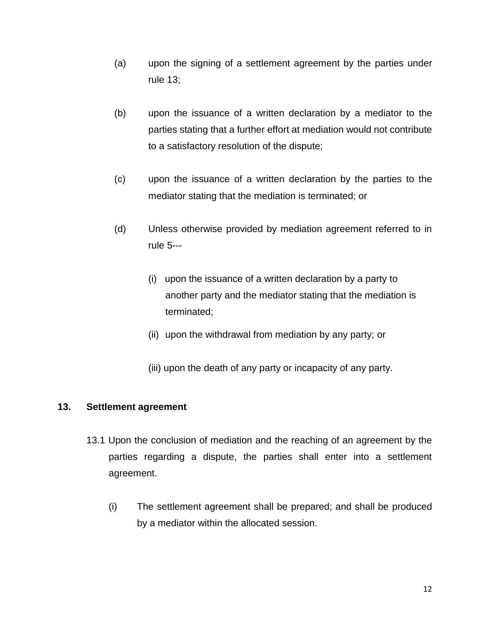- (a) upon the signing of a settlement agreement by the parties under rule 13;
- (b) upon the issuance of a written declaration by a mediator to the parties stating that a further effort at mediation would not contribute to a satisfactory resolution of the dispute;
- (c) upon the issuance of a written declaration by the parties to the mediator stating that the mediation is terminated; or
- (d) Unless otherwise provided by mediation agreement referred to in rule 5---
	- (i) upon the issuance of a written declaration by a party to another party and the mediator stating that the mediation is terminated;
	- (ii) upon the withdrawal from mediation by any party; or
	- (iii) upon the death of any party or incapacity of any party.

### **13. Settlement agreement**

- 13.1 Upon the conclusion of mediation and the reaching of an agreement by the parties regarding a dispute, the parties shall enter into a settlement agreement.
	- (i) The settlement agreement shall be prepared; and shall be produced by a mediator within the allocated session.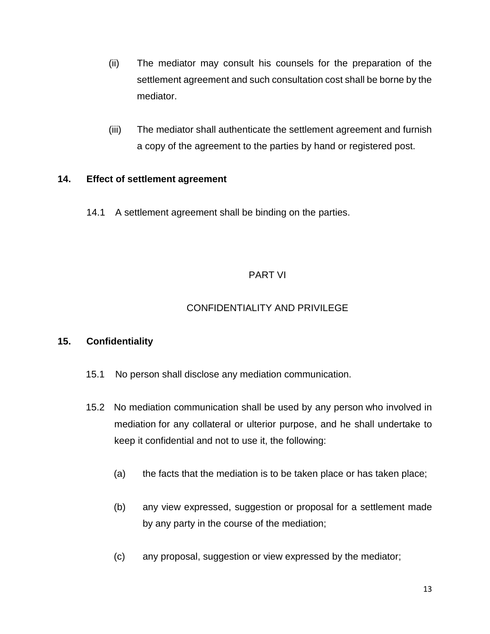- (ii) The mediator may consult his counsels for the preparation of the settlement agreement and such consultation cost shall be borne by the mediator.
- (iii) The mediator shall authenticate the settlement agreement and furnish a copy of the agreement to the parties by hand or registered post.

### **14. Effect of settlement agreement**

14.1 A settlement agreement shall be binding on the parties.

### PART VI

### CONFIDENTIALITY AND PRIVILEGE

### **15. Confidentiality**

- 15.1 No person shall disclose any mediation communication.
- 15.2 No mediation communication shall be used by any person who involved in mediation for any collateral or ulterior purpose, and he shall undertake to keep it confidential and not to use it, the following:
	- (a) the facts that the mediation is to be taken place or has taken place;
	- (b) any view expressed, suggestion or proposal for a settlement made by any party in the course of the mediation;
	- (c) any proposal, suggestion or view expressed by the mediator;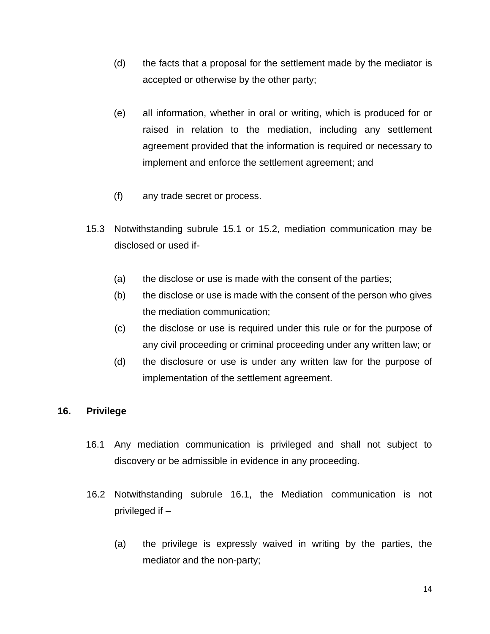- (d) the facts that a proposal for the settlement made by the mediator is accepted or otherwise by the other party;
- (e) all information, whether in oral or writing, which is produced for or raised in relation to the mediation, including any settlement agreement provided that the information is required or necessary to implement and enforce the settlement agreement; and
- (f) any trade secret or process.
- 15.3 Notwithstanding subrule 15.1 or 15.2, mediation communication may be disclosed or used if-
	- (a) the disclose or use is made with the consent of the parties;
	- (b) the disclose or use is made with the consent of the person who gives the mediation communication;
	- (c) the disclose or use is required under this rule or for the purpose of any civil proceeding or criminal proceeding under any written law; or
	- (d) the disclosure or use is under any written law for the purpose of implementation of the settlement agreement.

### **16. Privilege**

- 16.1 Any mediation communication is privileged and shall not subject to discovery or be admissible in evidence in any proceeding.
- 16.2 Notwithstanding subrule 16.1, the Mediation communication is not privileged if –
	- (a) the privilege is expressly waived in writing by the parties, the mediator and the non-party;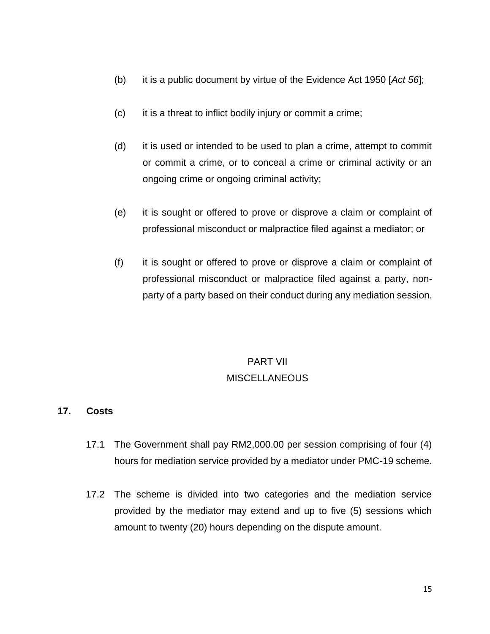- (b) it is a public document by virtue of the Evidence Act 1950 [*Act 56*];
- (c) it is a threat to inflict bodily injury or commit a crime;
- (d) it is used or intended to be used to plan a crime, attempt to commit or commit a crime, or to conceal a crime or criminal activity or an ongoing crime or ongoing criminal activity;
- (e) it is sought or offered to prove or disprove a claim or complaint of professional misconduct or malpractice filed against a mediator; or
- (f) it is sought or offered to prove or disprove a claim or complaint of professional misconduct or malpractice filed against a party, nonparty of a party based on their conduct during any mediation session.

# PART VII **MISCELLANEOUS**

### **17. Costs**

- 17.1 The Government shall pay RM2,000.00 per session comprising of four (4) hours for mediation service provided by a mediator under PMC-19 scheme.
- 17.2 The scheme is divided into two categories and the mediation service provided by the mediator may extend and up to five (5) sessions which amount to twenty (20) hours depending on the dispute amount.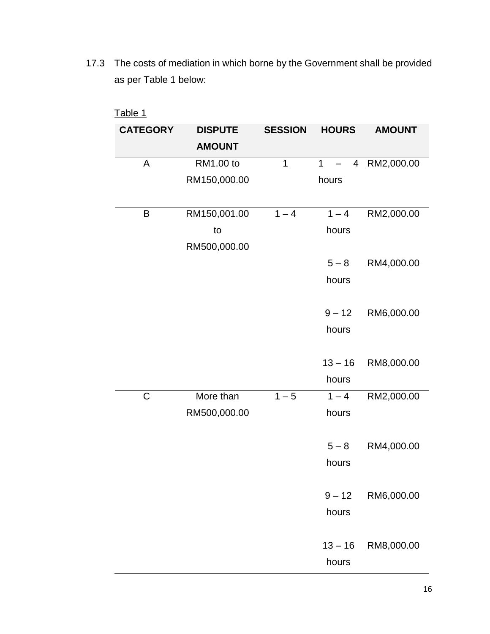17.3 The costs of mediation in which borne by the Government shall be provided as per Table 1 below:

| Table 1         |                |                |                                |               |  |  |  |
|-----------------|----------------|----------------|--------------------------------|---------------|--|--|--|
| <b>CATEGORY</b> | <b>DISPUTE</b> | <b>SESSION</b> | <b>HOURS</b>                   | <b>AMOUNT</b> |  |  |  |
|                 | <b>AMOUNT</b>  |                |                                |               |  |  |  |
| A               | RM1.00 to      | $\overline{1}$ | $\mathbf{1}$<br>$\overline{4}$ | RM2,000.00    |  |  |  |
|                 | RM150,000.00   |                | hours                          |               |  |  |  |
|                 |                |                |                                |               |  |  |  |
| Β               | RM150,001.00   | $1 - 4$        | $1 - 4$                        | RM2,000.00    |  |  |  |
|                 | to             |                | hours                          |               |  |  |  |
|                 | RM500,000.00   |                |                                |               |  |  |  |
|                 |                |                | $5 - 8$                        | RM4,000.00    |  |  |  |
|                 |                |                | hours                          |               |  |  |  |
|                 |                |                |                                |               |  |  |  |
|                 |                |                | $9 - 12$                       | RM6,000.00    |  |  |  |
|                 |                |                | hours                          |               |  |  |  |
|                 |                |                |                                |               |  |  |  |
|                 |                |                | $13 - 16$                      | RM8,000.00    |  |  |  |
|                 |                |                | hours                          |               |  |  |  |
| $\mathsf C$     | More than      | $1 - 5$        | $1 - 4$                        | RM2,000.00    |  |  |  |
|                 | RM500,000.00   |                | hours                          |               |  |  |  |
|                 |                |                |                                |               |  |  |  |
|                 |                |                | $5 - 8$                        | RM4,000.00    |  |  |  |
|                 |                |                | hours                          |               |  |  |  |
|                 |                |                | $9 - 12$                       | RM6,000.00    |  |  |  |
|                 |                |                | hours                          |               |  |  |  |
|                 |                |                |                                |               |  |  |  |
|                 |                |                | $13 - 16$                      | RM8,000.00    |  |  |  |
|                 |                |                | hours                          |               |  |  |  |
|                 |                |                |                                |               |  |  |  |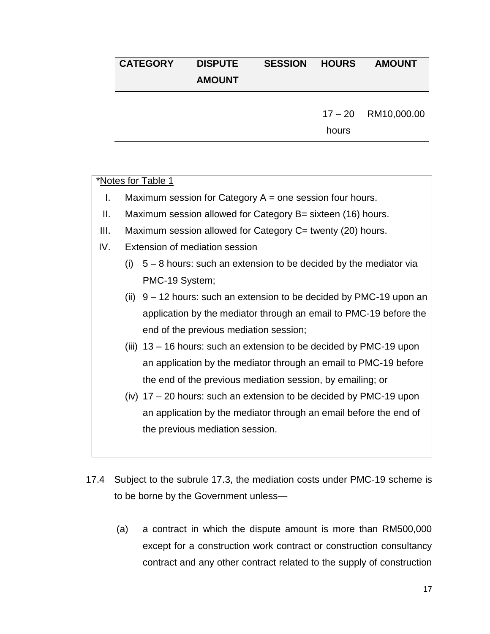### **CATEGORY DISPUTE AMOUNT SESSION HOURS AMOUNT**

 $17 - 20$ RM10,000.00

hours

### \*Notes for Table 1

- I. Maximum session for Category  $A =$  one session four hours.
- II. Maximum session allowed for Category B= sixteen (16) hours.
- III. Maximum session allowed for Category C= twenty (20) hours.
- IV. Extension of mediation session
	- (i)  $5 8$  hours: such an extension to be decided by the mediator via PMC-19 System;
	- (ii)  $9 12$  hours: such an extension to be decided by PMC-19 upon an application by the mediator through an email to PMC-19 before the end of the previous mediation session;
	- (iii) 13 16 hours: such an extension to be decided by PMC-19 upon an application by the mediator through an email to PMC-19 before the end of the previous mediation session, by emailing; or
	- (iv) 17 20 hours: such an extension to be decided by PMC-19 upon an application by the mediator through an email before the end of the previous mediation session.
- 17.4 Subject to the subrule 17.3, the mediation costs under PMC-19 scheme is to be borne by the Government unless—
	- (a) a contract in which the dispute amount is more than RM500,000 except for a construction work contract or construction consultancy contract and any other contract related to the supply of construction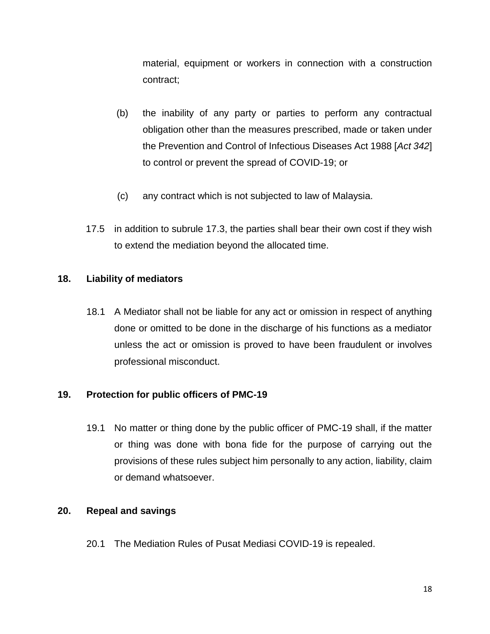material, equipment or workers in connection with a construction contract;

- (b) the inability of any party or parties to perform any contractual obligation other than the measures prescribed, made or taken under the Prevention and Control of Infectious Diseases Act 1988 [*Act 342*] to control or prevent the spread of COVID-19; or
- (c) any contract which is not subjected to law of Malaysia.
- 17.5 in addition to subrule 17.3, the parties shall bear their own cost if they wish to extend the mediation beyond the allocated time.

### **18. Liability of mediators**

18.1 A Mediator shall not be liable for any act or omission in respect of anything done or omitted to be done in the discharge of his functions as a mediator unless the act or omission is proved to have been fraudulent or involves professional misconduct.

### **19. Protection for public officers of PMC-19**

19.1 No matter or thing done by the public officer of PMC-19 shall, if the matter or thing was done with bona fide for the purpose of carrying out the provisions of these rules subject him personally to any action, liability, claim or demand whatsoever.

### **20. Repeal and savings**

20.1 The Mediation Rules of Pusat Mediasi COVID-19 is repealed.